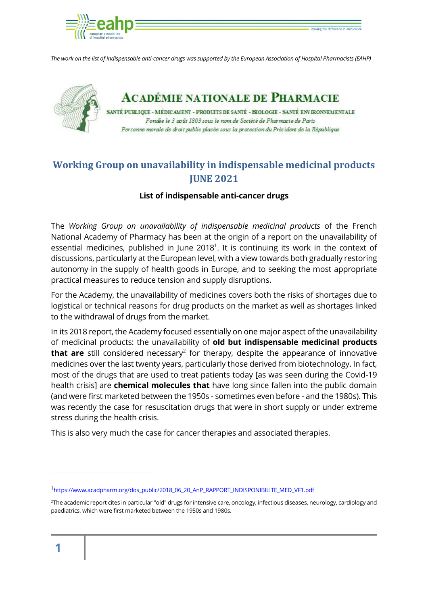

*The work on the list of indispensable anti-cancer drugs was supported by the European Association of Hospital Pharmacists (EAHP)*



**ACADÉMIE NATIONALE DE PHARMACIE** 

SANTÉ PUBLIQUE - MÉDICAMENT - PRODUITS DE SANTÉ - BIOLOGIE - SANTÉ ENVIRONNEMENTALE Fondée le 3 août 1803 sous le nom de Société de Pharmacie de Paris Personne morale de droit public placée sous la protection du Président de la République

# **Working Group on unavailability in indispensable medicinal products JUNE 2021**

### **List of indispensable anti-cancer drugs**

The *Working Group on unavailability of indispensable medicinal products* of the French National Academy of Pharmacy has been at the origin of a report on the unavailability of essential medicines, published in June 2018<sup>1</sup>. It is continuing its work in the context of discussions, particularly at the European level, with a view towards both gradually restoring autonomy in the supply of health goods in Europe, and to seeking the most appropriate practical measures to reduce tension and supply disruptions.

For the Academy, the unavailability of medicines covers both the risks of shortages due to logistical or technical reasons for drug products on the market as well as shortages linked to the withdrawal of drugs from the market.

In its 2018 report, the Academy focused essentially on one major aspect of the unavailability of medicinal products: the unavailability of **old but indispensable medicinal products that are** still considered necessary<sup>2</sup> for therapy, despite the appearance of innovative medicines over the last twenty years, particularly those derived from biotechnology. In fact, most of the drugs that are used to treat patients today [as was seen during the Covid-19 health crisis] are **chemical molecules that** have long since fallen into the public domain (and were first marketed between the 1950s - sometimes even before - and the 1980s). This was recently the case for resuscitation drugs that were in short supply or under extreme stress during the health crisis.

This is also very much the case for cancer therapies and associated therapies.

<sup>&</sup>lt;sup>1</sup>[https://www.acadpharm.org/dos\\_public/2018\\_06\\_20\\_AnP\\_RAPPORT\\_INDISPONIBILITE\\_MED\\_VF1.pdf](https://www.acadpharm.org/dos_public/2018_06_20_AnP_RAPPORT_INDISPONIBILITE_MED_VF1.pdf)

<sup>&</sup>lt;sup>2</sup>The academic report cites in particular "old" drugs for intensive care, oncology, infectious diseases, neurology, cardiology and paediatrics, which were first marketed between the 1950s and 1980s.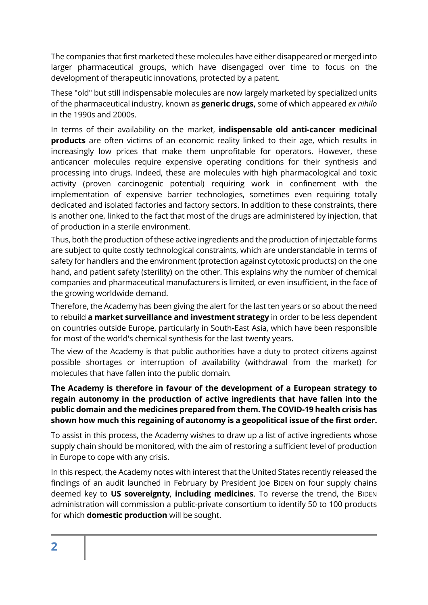The companies that first marketed these molecules have either disappeared or merged into larger pharmaceutical groups, which have disengaged over time to focus on the development of therapeutic innovations, protected by a patent.

These "old" but still indispensable molecules are now largely marketed by specialized units of the pharmaceutical industry, known as **generic drugs,** some of which appeared *ex nihilo*  in the 1990s and 2000s.

In terms of their availability on the market, **indispensable old anti-cancer medicinal products** are often victims of an economic reality linked to their age, which results in increasingly low prices that make them unprofitable for operators. However, these anticancer molecules require expensive operating conditions for their synthesis and processing into drugs. Indeed, these are molecules with high pharmacological and toxic activity (proven carcinogenic potential) requiring work in confinement with the implementation of expensive barrier technologies, sometimes even requiring totally dedicated and isolated factories and factory sectors. In addition to these constraints, there is another one, linked to the fact that most of the drugs are administered by injection, that of production in a sterile environment.

Thus, both the production of these active ingredients and the production of injectable forms are subject to quite costly technological constraints, which are understandable in terms of safety for handlers and the environment (protection against cytotoxic products) on the one hand, and patient safety (sterility) on the other. This explains why the number of chemical companies and pharmaceutical manufacturers is limited, or even insufficient, in the face of the growing worldwide demand.

Therefore, the Academy has been giving the alert for the last ten years or so about the need to rebuild **a market surveillance and investment strategy** in order to be less dependent on countries outside Europe, particularly in South-East Asia, which have been responsible for most of the world's chemical synthesis for the last twenty years.

The view of the Academy is that public authorities have a duty to protect citizens against possible shortages or interruption of availability (withdrawal from the market) for molecules that have fallen into the public domain*.*

**The Academy is therefore in favour of the development of a European strategy to regain autonomy in the production of active ingredients that have fallen into the public domain and the medicines prepared from them. The COVID-19 health crisis has shown how much this regaining of autonomy is a geopolitical issue of the first order.** 

To assist in this process, the Academy wishes to draw up a list of active ingredients whose supply chain should be monitored, with the aim of restoring a sufficient level of production in Europe to cope with any crisis.

In this respect, the Academy notes with interest that the United States recently released the findings of an audit launched in February by President Joe BIDEN on four supply chains deemed key to **US sovereignty**, **including medicines**. To reverse the trend, the BIDEN administration will commission a public-private consortium to identify 50 to 100 products for which **domestic production** will be sought.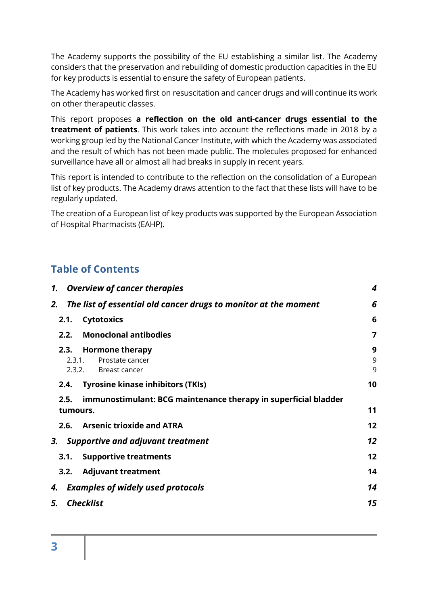The Academy supports the possibility of the EU establishing a similar list. The Academy considers that the preservation and rebuilding of domestic production capacities in the EU for key products is essential to ensure the safety of European patients.

The Academy has worked first on resuscitation and cancer drugs and will continue its work on other therapeutic classes.

This report proposes **a reflection on the old anti-cancer drugs essential to the treatment of patients**. This work takes into account the reflections made in 2018 by a working group led by the National Cancer Institute, with which the Academy was associated and the result of which has not been made public. The molecules proposed for enhanced surveillance have all or almost all had breaks in supply in recent years.

This report is intended to contribute to the reflection on the consolidation of a European list of key products. The Academy draws attention to the fact that these lists will have to be regularly updated.

The creation of a European list of key products was supported by the European Association of Hospital Pharmacists (EAHP).

# **Table of Contents**

|                          | 1. Overview of cancer therapies                                 | 4           |
|--------------------------|-----------------------------------------------------------------|-------------|
| 2.                       | The list of essential old cancer drugs to monitor at the moment | 6           |
| 2.1.                     | <b>Cytotoxics</b>                                               | 6           |
| 2.2.                     | <b>Monoclonal antibodies</b>                                    | 7           |
| 2.3.<br>2.3.1.<br>2.3.2. | <b>Hormone therapy</b><br>Prostate cancer<br>Breast cancer      | 9<br>9<br>9 |
| 2.4.                     | <b>Tyrosine kinase inhibitors (TKIs)</b>                        | 10          |
| 2.5.                     | immunostimulant: BCG maintenance therapy in superficial bladder |             |
| tumours.                 |                                                                 | 11          |
|                          | 2.6. Arsenic trioxide and ATRA                                  | 12          |
| 3.                       | <b>Supportive and adjuvant treatment</b>                        | 12          |
| 3.1.                     | <b>Supportive treatments</b>                                    | 12          |
| 3.2.                     | <b>Adjuvant treatment</b>                                       | 14          |
| 4.                       | <b>Examples of widely used protocols</b>                        | 14          |
| 5.                       | <b>Checklist</b>                                                | 15          |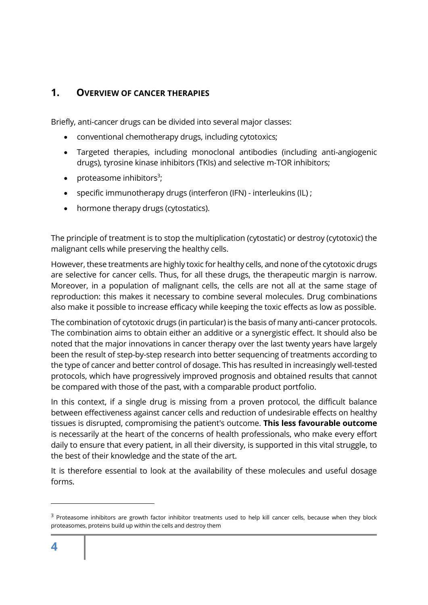## <span id="page-3-0"></span>**1. OVERVIEW OF CANCER THERAPIES**

Briefly, anti-cancer drugs can be divided into several major classes:

- conventional chemotherapy drugs, including cytotoxics;
- Targeted therapies, including monoclonal antibodies (including anti-angiogenic drugs), tyrosine kinase inhibitors (TKIs) and selective m-TOR inhibitors;
- proteasome inhibitors<sup>3</sup>;
- specific immunotherapy drugs (interferon (IFN) interleukins (IL) ;
- hormone therapy drugs (cytostatics).

The principle of treatment is to stop the multiplication (cytostatic) or destroy (cytotoxic) the malignant cells while preserving the healthy cells.

However, these treatments are highly toxic for healthy cells, and none of the cytotoxic drugs are selective for cancer cells. Thus, for all these drugs, the therapeutic margin is narrow. Moreover, in a population of malignant cells, the cells are not all at the same stage of reproduction: this makes it necessary to combine several molecules. Drug combinations also make it possible to increase efficacy while keeping the toxic effects as low as possible.

The combination of cytotoxic drugs (in particular) is the basis of many anti-cancer protocols. The combination aims to obtain either an additive or a synergistic effect. It should also be noted that the major innovations in cancer therapy over the last twenty years have largely been the result of step-by-step research into better sequencing of treatments according to the type of cancer and better control of dosage. This has resulted in increasingly well-tested protocols, which have progressively improved prognosis and obtained results that cannot be compared with those of the past, with a comparable product portfolio.

In this context, if a single drug is missing from a proven protocol, the difficult balance between effectiveness against cancer cells and reduction of undesirable effects on healthy tissues is disrupted, compromising the patient's outcome. **This less favourable outcome** is necessarily at the heart of the concerns of health professionals, who make every effort daily to ensure that every patient, in all their diversity, is supported in this vital struggle, to the best of their knowledge and the state of the art.

It is therefore essential to look at the availability of these molecules and useful dosage forms.

<sup>&</sup>lt;sup>3</sup> Proteasome inhibitors are growth factor inhibitor treatments used to help kill cancer cells, because when they block proteasomes, proteins build up within the cells and destroy them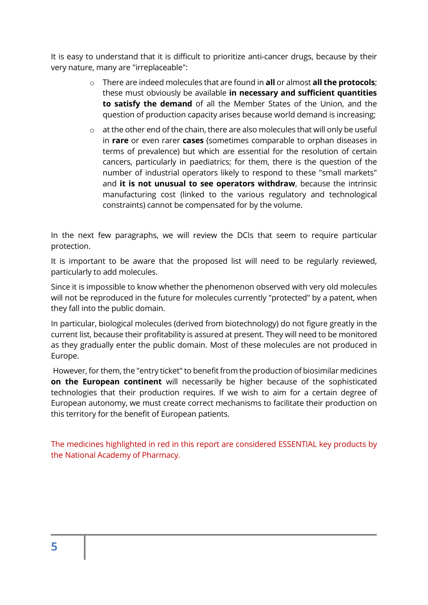It is easy to understand that it is difficult to prioritize anti-cancer drugs, because by their very nature, many are "irreplaceable":

- o There are indeed molecules that are found in **all** or almost **all the protocols**; these must obviously be available **in necessary and sufficient quantities to satisfy the demand** of all the Member States of the Union, and the question of production capacity arises because world demand is increasing;
- o at the other end of the chain, there are also molecules that will only be useful in **rare** or even rarer **cases** (sometimes comparable to orphan diseases in terms of prevalence) but which are essential for the resolution of certain cancers, particularly in paediatrics; for them, there is the question of the number of industrial operators likely to respond to these "small markets" and **it is not unusual to see operators withdraw**, because the intrinsic manufacturing cost (linked to the various regulatory and technological constraints) cannot be compensated for by the volume.

In the next few paragraphs, we will review the DCIs that seem to require particular protection.

It is important to be aware that the proposed list will need to be regularly reviewed, particularly to add molecules.

Since it is impossible to know whether the phenomenon observed with very old molecules will not be reproduced in the future for molecules currently "protected" by a patent, when they fall into the public domain.

In particular, biological molecules (derived from biotechnology) do not figure greatly in the current list, because their profitability is assured at present. They will need to be monitored as they gradually enter the public domain. Most of these molecules are not produced in Europe.

However, for them, the "entry ticket" to benefit from the production of biosimilar medicines **on the European continent** will necessarily be higher because of the sophisticated technologies that their production requires. If we wish to aim for a certain degree of European autonomy, we must create correct mechanisms to facilitate their production on this territory for the benefit of European patients.

The medicines highlighted in red in this report are considered ESSENTIAL key products by the National Academy of Pharmacy.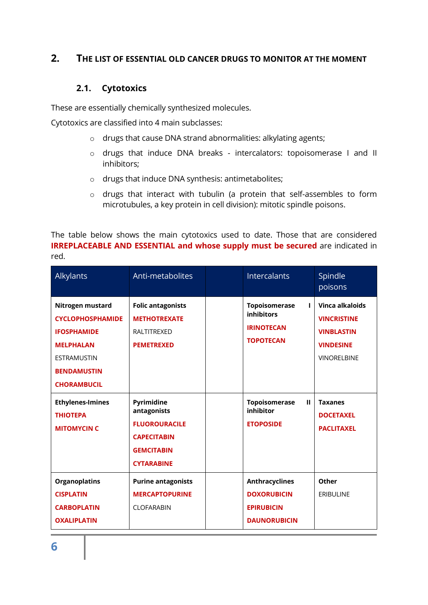### <span id="page-5-0"></span>**2. THE LIST OF ESSENTIAL OLD CANCER DRUGS TO MONITOR AT THE MOMENT**

### **2.1. Cytotoxics**

<span id="page-5-1"></span>These are essentially chemically synthesized molecules.

Cytotoxics are classified into 4 main subclasses:

- o drugs that cause DNA strand abnormalities: alkylating agents;
- o drugs that induce DNA breaks intercalators: topoisomerase I and II inhibitors;
- o drugs that induce DNA synthesis: antimetabolites;
- o drugs that interact with tubulin (a protein that self-assembles to form microtubules, a key protein in cell division): mitotic spindle poisons.

The table below shows the main cytotoxics used to date. Those that are considered **IRREPLACEABLE AND ESSENTIAL and whose supply must be secured** are indicated in red.

| Alkylants                                                                                                                                               | Anti-metabolites                                                                                                  | Intercalants                                                                            | Spindle<br>poisons                                                                                   |
|---------------------------------------------------------------------------------------------------------------------------------------------------------|-------------------------------------------------------------------------------------------------------------------|-----------------------------------------------------------------------------------------|------------------------------------------------------------------------------------------------------|
| Nitrogen mustard<br><b>CYCLOPHOSPHAMIDE</b><br><b>IFOSPHAMIDE</b><br><b>MELPHALAN</b><br><b>ESTRAMUSTIN</b><br><b>BENDAMUSTIN</b><br><b>CHORAMBUCIL</b> | <b>Folic antagonists</b><br><b>METHOTREXATE</b><br><b>RALTITREXED</b><br><b>PEMETREXED</b>                        | <b>Topoisomerase</b><br>L<br>inhibitors<br><b>IRINOTECAN</b><br><b>TOPOTECAN</b>        | Vinca alkaloids<br><b>VINCRISTINE</b><br><b>VINBLASTIN</b><br><b>VINDESINE</b><br><b>VINORELBINE</b> |
| <b>Ethylenes-Imines</b><br><b>THIOTEPA</b><br><b>MITOMYCIN C</b>                                                                                        | Pyrimidine<br>antagonists<br><b>FLUOROURACILE</b><br><b>CAPECITABIN</b><br><b>GEMCITABIN</b><br><b>CYTARABINE</b> | <b>Topoisomerase</b><br>$\mathbf{H}$<br>inhibitor<br><b>ETOPOSIDE</b>                   | <b>Taxanes</b><br><b>DOCETAXEL</b><br><b>PACLITAXEL</b>                                              |
| <b>Organoplatins</b><br><b>CISPLATIN</b><br><b>CARBOPLATIN</b><br><b>OXALIPLATIN</b>                                                                    | <b>Purine antagonists</b><br><b>MERCAPTOPURINE</b><br><b>CLOFARABIN</b>                                           | <b>Anthracyclines</b><br><b>DOXORUBICIN</b><br><b>EPIRUBICIN</b><br><b>DAUNORUBICIN</b> | Other<br><b>ERIBULINE</b>                                                                            |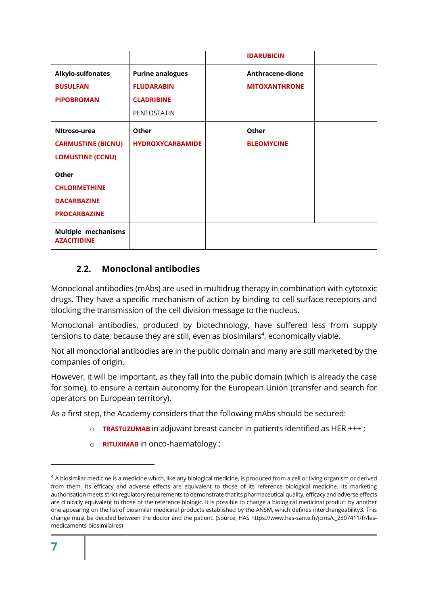|                                                  |                         | <b>IDARUBICIN</b>    |  |
|--------------------------------------------------|-------------------------|----------------------|--|
| Alkylo-sulfonates                                | <b>Purine analogues</b> | Anthracene-dione     |  |
| <b>BUSULFAN</b>                                  | <b>FLUDARABIN</b>       | <b>MITOXANTHRONE</b> |  |
| <b>PIPOBROMAN</b>                                | <b>CLADRIBINE</b>       |                      |  |
|                                                  | <b>PENTOSTATIN</b>      |                      |  |
| Nitroso-urea                                     | Other                   | Other                |  |
| <b>CARMUSTINE (BICNU)</b>                        | <b>HYDROXYCARBAMIDE</b> | <b>BLEOMYCINE</b>    |  |
| <b>LOMUSTINE (CCNU)</b>                          |                         |                      |  |
| Other                                            |                         |                      |  |
| <b>CHLORMETHINE</b>                              |                         |                      |  |
| <b>DACARBAZINE</b>                               |                         |                      |  |
| <b>PROCARBAZINE</b>                              |                         |                      |  |
| <b>Multiple mechanisms</b><br><b>AZACITIDINE</b> |                         |                      |  |

## <span id="page-6-0"></span>**2.2. Monoclonal antibodies**

Monoclonal antibodies (mAbs) are used in multidrug therapy in combination with cytotoxic drugs. They have a specific mechanism of action by binding to cell surface receptors and blocking the transmission of the cell division message to the nucleus.

Monoclonal antibodies, produced by biotechnology, have suffered less from supply tensions to date, because they are still, even as biosimilars $4$ , economically viable.

Not all monoclonal antibodies are in the public domain and many are still marketed by the companies of origin.

However, it will be important, as they fall into the public domain (which is already the case for some), to ensure a certain autonomy for the European Union (transfer and search for operators on European territory).

As a first step, the Academy considers that the following mAbs should be secured:

- o **TRASTUZUMAB** in adjuvant breast cancer in patients identified as HER +++ ;
- o **RITUXIMAB** in onco-haematology ;

 $4$  A biosimilar medicine is a medicine which, like any biological medicine, is produced from a cell or living organism or derived from them. Its efficacy and adverse effects are equivalent to those of its reference biological medicine. Its marketing authorisation meets strict regulatory requirements to demonstrate that its pharmaceutical quality, efficacy and adverse effects are clinically equivalent to those of the reference biologic. It is possible to change a biological medicinal product by another one appearing on the list of biosimilar medicinal products established by the ANSM, which defines interchangeability3. This change must be decided between the doctor and the patient. (Source; HAS https://www.has-sante.fr/jcms/c\_2807411/fr/lesmedicaments-biosimilaires)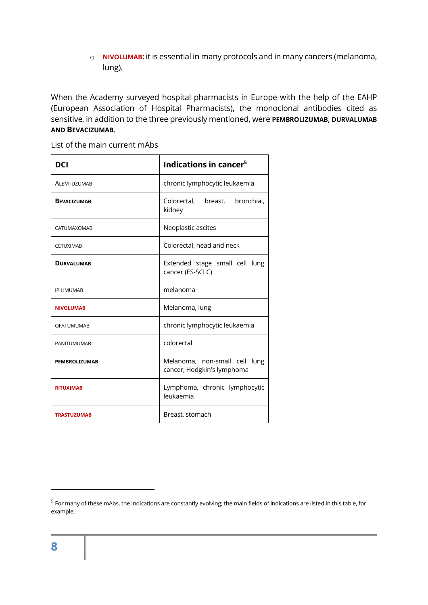o **NIVOLUMAB:** it is essential in many protocols and in many cancers (melanoma, lung).

When the Academy surveyed hospital pharmacists in Europe with the help of the EAHP (European Association of Hospital Pharmacists), the monoclonal antibodies cited as sensitive, in addition to the three previously mentioned, were **PEMBROLIZUMAB**, **DURVALUMAB AND BEVACIZUMAB**.

List of the main current mAbs

| DCI                  | Indications in cancer <sup>5</sup>                          |  |  |
|----------------------|-------------------------------------------------------------|--|--|
| ALEMTUZUMAB          | chronic lymphocytic leukaemia                               |  |  |
| <b>BEVACIZUMAB</b>   | Colorectal, breast, bronchial,<br>kidney                    |  |  |
| <b>CATUMAXOMAB</b>   | Neoplastic ascites                                          |  |  |
| <b>CETUXIMAB</b>     | Colorectal, head and neck                                   |  |  |
| <b>DURVALUMAB</b>    | Extended stage small cell lung<br>cancer (ES-SCLC)          |  |  |
| <b>IPILIMUMAB</b>    | melanoma                                                    |  |  |
| <b>NIVOLUMAB</b>     | Melanoma, lung                                              |  |  |
| <b>OFATUMUMAB</b>    | chronic lymphocytic leukaemia                               |  |  |
| PANITUMUMAB          | colorectal                                                  |  |  |
| <b>PEMBROLIZUMAB</b> | Melanoma, non-small cell lung<br>cancer, Hodgkin's lymphoma |  |  |
| <b>RITUXIMAB</b>     | Lymphoma, chronic lymphocytic<br>leukaemia                  |  |  |
| <b>TRASTUZUMAB</b>   | Breast, stomach                                             |  |  |

<sup>&</sup>lt;sup>5</sup> For many of these mAbs, the indications are constantly evolving; the main fields of indications are listed in this table, for example.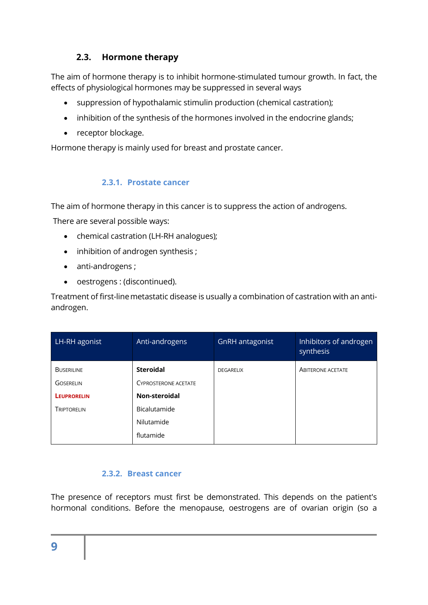## **2.3. Hormone therapy**

<span id="page-8-0"></span>The aim of hormone therapy is to inhibit hormone-stimulated tumour growth. In fact, the effects of physiological hormones may be suppressed in several ways

- suppression of hypothalamic stimulin production (chemical castration);
- inhibition of the synthesis of the hormones involved in the endocrine glands;
- receptor blockage.

Hormone therapy is mainly used for breast and prostate cancer.

### **2.3.1. Prostate cancer**

<span id="page-8-1"></span>The aim of hormone therapy in this cancer is to suppress the action of androgens.

There are several possible ways:

- chemical castration (LH-RH analogues);
- inhibition of androgen synthesis ;
- anti-androgens ;
- oestrogens : (discontinued).

Treatment of first-line metastatic disease is usually a combination of castration with an antiandrogen.

| LH-RH agonist      | Anti-androgens              | GnRH antagonist  | Inhibitors of androgen<br>synthesis |
|--------------------|-----------------------------|------------------|-------------------------------------|
| <b>BUSERILINE</b>  | <b>Steroidal</b>            | <b>DEGARELIX</b> | <b>ABITERONE ACETATE</b>            |
| <b>GOSERELIN</b>   | <b>CYPROSTERONE ACETATE</b> |                  |                                     |
| <b>LEUPRORELIN</b> | Non-steroidal               |                  |                                     |
| TRIPTORELIN        | Bicalutamide                |                  |                                     |
|                    | Nilutamide                  |                  |                                     |
|                    | flutamide                   |                  |                                     |

## **2.3.2. Breast cancer**

<span id="page-8-2"></span>The presence of receptors must first be demonstrated. This depends on the patient's hormonal conditions. Before the menopause, oestrogens are of ovarian origin (so a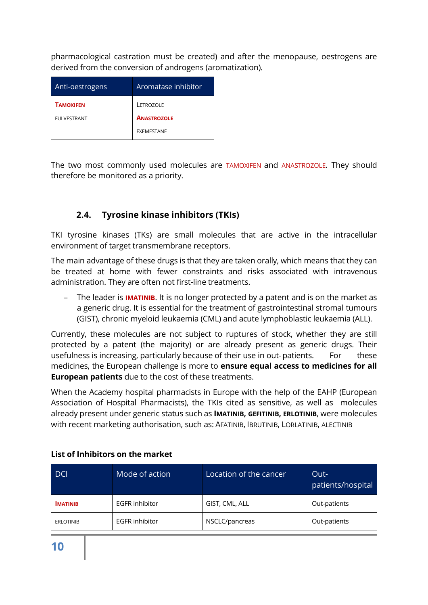pharmacological castration must be created) and after the menopause, oestrogens are derived from the conversion of androgens (aromatization).

| Anti-oestrogens    | Aromatase inhibitor |
|--------------------|---------------------|
| TAMOXIFEN          | LETROZOLE           |
| <b>FULVESTRANT</b> | <b>ANASTROZOLE</b>  |
|                    | EXEMESTANE          |

The two most commonly used molecules are TAMOXIFEN and ANASTROZOLE. They should therefore be monitored as a priority.

## <span id="page-9-0"></span>**2.4. Tyrosine kinase inhibitors (TKIs)**

TKI tyrosine kinases (TKs) are small molecules that are active in the intracellular environment of target transmembrane receptors.

The main advantage of these drugs is that they are taken orally, which means that they can be treated at home with fewer constraints and risks associated with intravenous administration. They are often not first-line treatments.

– The leader is **IMATINIB**. It is no longer protected by a patent and is on the market as a generic drug. It is essential for the treatment of gastrointestinal stromal tumours (GIST), chronic myeloid leukaemia (CML) and acute lymphoblastic leukaemia (ALL).

Currently, these molecules are not subject to ruptures of stock, whether they are still protected by a patent (the majority) or are already present as generic drugs. Their usefulness is increasing, particularly because of their use in out-patients. For these medicines, the European challenge is more to **ensure equal access to medicines for all European patients** due to the cost of these treatments.

When the Academy hospital pharmacists in Europe with the help of the EAHP (European Association of Hospital Pharmacists), the TKIs cited as sensitive, as well as molecules already present under generic status such as **IMATINIB, GEFITINIB, ERLOTINIB**, were molecules with recent marketing authorisation, such as: AFATINIB, IBRUTINIB, LORLATINIB, ALECTINIB

| DCI              | Mode of action        | Location of the cancer | Out-<br>patients/hospital |
|------------------|-----------------------|------------------------|---------------------------|
| <b>IMATINIB</b>  | <b>EGFR</b> inhibitor | GIST, CML, ALL         | Out-patients              |
| <b>ERLOTINIB</b> | <b>EGFR</b> inhibitor | NSCLC/pancreas         | Out-patients              |

### **List of Inhibitors on the market**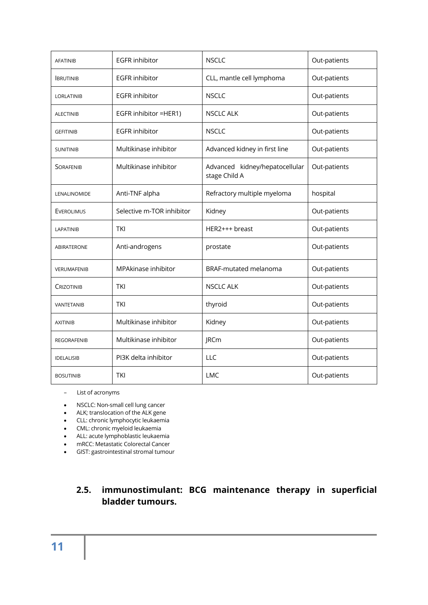| <b>AFATINIB</b>    | <b>EGFR</b> inhibitor     | <b>NSCLC</b>                                    | Out-patients |
|--------------------|---------------------------|-------------------------------------------------|--------------|
| <b>BRUTINIB</b>    | <b>EGFR</b> inhibitor     | CLL, mantle cell lymphoma                       | Out-patients |
| <b>LORLATINIB</b>  | <b>EGFR</b> inhibitor     | <b>NSCLC</b>                                    | Out-patients |
| <b>ALECTINIB</b>   | EGFR inhibitor =HER1)     | <b>NSCLC ALK</b>                                | Out-patients |
| <b>GEFITINIB</b>   | <b>EGFR</b> inhibitor     | <b>NSCLC</b>                                    | Out-patients |
| <b>SUNITINIB</b>   | Multikinase inhibitor     | Advanced kidney in first line                   | Out-patients |
| <b>SORAFENIB</b>   | Multikinase inhibitor     | Advanced kidney/hepatocellular<br>stage Child A | Out-patients |
| LENALINOMIDE       | Anti-TNF alpha            | Refractory multiple myeloma                     | hospital     |
| EVEROLIMUS         | Selective m-TOR inhibitor | Kidney                                          | Out-patients |
| <b>LAPATINIB</b>   | <b>TKI</b>                | HER2+++ breast                                  | Out-patients |
| <b>ABIRATERONE</b> | Anti-androgens            | prostate                                        | Out-patients |
| VERUMAFENIB        | MPAkinase inhibitor       | <b>BRAF-mutated melanoma</b>                    | Out-patients |
| Crizotinib         | TKI                       | <b>NSCLC ALK</b>                                | Out-patients |
| VANTETANIB         | <b>TKI</b>                | thyroid                                         | Out-patients |
| <b>AXITINIB</b>    | Multikinase inhibitor     | Kidney                                          | Out-patients |
| <b>REGORAFENIB</b> | Multikinase inhibitor     | <b>JRCm</b>                                     | Out-patients |
| <b>IDELALISIB</b>  | PI3K delta inhibitor      | LLC                                             | Out-patients |
| <b>BOSUTINIB</b>   | <b>TKI</b>                | <b>LMC</b>                                      | Out-patients |

- List of acronyms
- NSCLC: Non-small cell lung cancer
- ALK; translocation of the ALK gene
- CLL: chronic lymphocytic leukaemia
- CML: chronic myeloid leukaemia
- ALL: acute lymphoblastic leukaemia
- mRCC: Metastatic Colorectal Cancer
- GIST: gastrointestinal stromal tumour

## <span id="page-10-0"></span>**2.5. immunostimulant: BCG maintenance therapy in superficial bladder tumours.**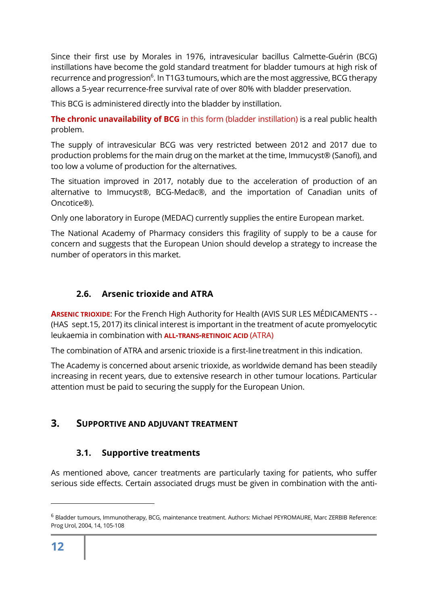Since their first use by Morales in 1976, intravesicular bacillus Calmette-Guérin (BCG) instillations have become the gold standard treatment for bladder tumours at high risk of recurrence and progression<sup>6</sup>. In T1G3 tumours, which are the most aggressive, BCG therapy allows a 5-year recurrence-free survival rate of over 80% with bladder preservation.

This BCG is administered directly into the bladder by instillation.

**The chronic unavailability of BCG** in this form (bladder instillation) is a real public health problem.

The supply of intravesicular BCG was very restricted between 2012 and 2017 due to production problems for the main drug on the market at the time, Immucyst® (Sanofi), and too low a volume of production for the alternatives.

The situation improved in 2017, notably due to the acceleration of production of an alternative to Immucyst®, BCG-Medac®, and the importation of Canadian units of Oncotice®).

Only one laboratory in Europe (MEDAC) currently supplies the entire European market.

The National Academy of Pharmacy considers this fragility of supply to be a cause for concern and suggests that the European Union should develop a strategy to increase the number of operators in this market.

## <span id="page-11-0"></span>**2.6. Arsenic trioxide and ATRA**

**ARSENIC TRIOXIDE**: For the French High Authority for Health (AVIS SUR LES MÉDICAMENTS - - (HAS sept.15, 2017) its clinical interest is important in the treatment of acute promyelocytic leukaemia in combination with **ALL-TRANS-RETINOIC ACID** (ATRA)

The combination of ATRA and arsenic trioxide is a first-line treatment in this indication.

The Academy is concerned about arsenic trioxide, as worldwide demand has been steadily increasing in recent years, due to extensive research in other tumour locations. Particular attention must be paid to securing the supply for the European Union.

## <span id="page-11-1"></span>**3. SUPPORTIVE AND ADJUVANT TREATMENT**

## **3.1. Supportive treatments**

<span id="page-11-2"></span>As mentioned above, cancer treatments are particularly taxing for patients, who suffer serious side effects. Certain associated drugs must be given in combination with the anti-

<sup>6</sup> Bladder tumours, Immunotherapy, BCG, maintenance treatment. Authors: Michael PEYROMAURE, Marc ZERBIB Reference: Prog Urol, 2004, 14, 105-108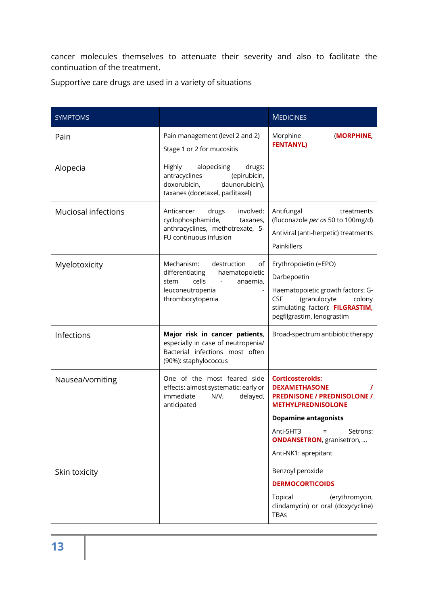cancer molecules themselves to attenuate their severity and also to facilitate the continuation of the treatment.

Supportive care drugs are used in a variety of situations

| <b>SYMPTOMS</b>            |                                                                                                                                           | <b>MEDICINES</b>                                                                                                                                                                    |
|----------------------------|-------------------------------------------------------------------------------------------------------------------------------------------|-------------------------------------------------------------------------------------------------------------------------------------------------------------------------------------|
| Pain                       | Pain management (level 2 and 2)<br>Stage 1 or 2 for mucositis                                                                             | Morphine<br>(MORPHINE,<br><b>FENTANYL)</b>                                                                                                                                          |
| Alopecia                   | Highly<br>alopecising<br>drugs:<br>(epirubicin,<br>antracyclines<br>doxorubicin,<br>daunorubicin),<br>taxanes (docetaxel, paclitaxel)     |                                                                                                                                                                                     |
| <b>Muciosal infections</b> | drugs<br>involved:<br>Anticancer<br>cyclophosphamide,<br>taxanes,<br>anthracyclines, methotrexate, 5-<br>FU continuous infusion           | Antifungal<br>treatments<br>(fluconazole per os 50 to 100mg/d)<br>Antiviral (anti-herpetic) treatments<br>Painkillers                                                               |
| Myelotoxicity              | Mechanism:<br>destruction<br>of<br>differentiating<br>haematopoietic<br>cells<br>anaemia,<br>stem<br>leuconeutropenia<br>thrombocytopenia | Erythropoietin (=EPO)<br>Darbepoetin<br>Haematopoietic growth factors: G-<br><b>CSF</b><br>(granulocyte<br>colony<br>stimulating factor): FILGRASTIM,<br>pegfilgrastim, lenograstim |
| Infections                 | Major risk in cancer patients,<br>especially in case of neutropenia/<br>Bacterial infections most often<br>(90%): staphylococcus          | Broad-spectrum antibiotic therapy                                                                                                                                                   |
| Nausea/vomiting            | One of the most feared side<br>effects: almost systematic: early or<br>delayed,<br>immediate<br>N/V,<br>anticipated                       | <b>Corticosteroids:</b><br><b>DEXAMETHASONE</b><br><b>PREDNISONE / PREDNISOLONE /</b><br><b>METHYLPREDNISOLONE</b>                                                                  |
|                            |                                                                                                                                           | <b>Dopamine antagonists</b>                                                                                                                                                         |
|                            |                                                                                                                                           | Anti-5HT3<br>$=$<br>Setrons:<br><b>ONDANSETRON</b> , granisetron,<br>Anti-NK1: aprepitant                                                                                           |
| Skin toxicity              |                                                                                                                                           | Benzoyl peroxide<br><b>DERMOCORTICOIDS</b><br>(erythromycin,<br>Topical<br>clindamycin) or oral (doxycycline)<br><b>TBAs</b>                                                        |
|                            |                                                                                                                                           |                                                                                                                                                                                     |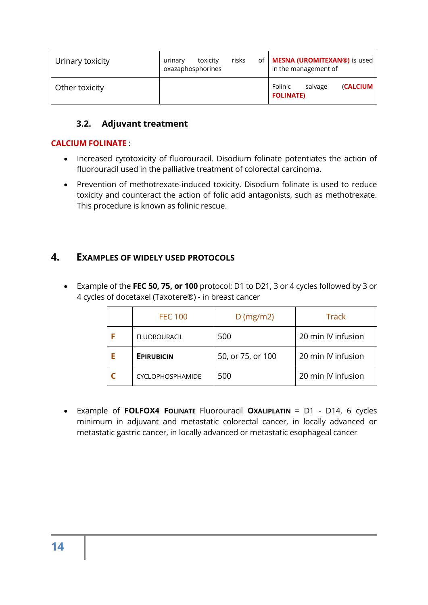| Urinary toxicity | risks<br>toxicity<br>of<br>urinary<br>oxazaphosphorines | <b>MESNA (UROMITEXAN®)</b> is used<br>in the management of |
|------------------|---------------------------------------------------------|------------------------------------------------------------|
| Other toxicity   |                                                         | Folinic<br><b>(CALCIUM</b><br>salvage<br><b>FOLINATE)</b>  |

## <span id="page-13-0"></span>**3.2. Adjuvant treatment**

#### **CALCIUM FOLINATE** :

- Increased cytotoxicity of fluorouracil. Disodium folinate potentiates the action of fluorouracil used in the palliative treatment of colorectal carcinoma.
- Prevention of methotrexate-induced toxicity. Disodium folinate is used to reduce toxicity and counteract the action of folic acid antagonists, such as methotrexate. This procedure is known as folinic rescue.

## <span id="page-13-1"></span>**4. EXAMPLES OF WIDELY USED PROTOCOLS**

• Example of the **FEC 50, 75, or 100** protocol: D1 to D21, 3 or 4 cycles followed by 3 or 4 cycles of docetaxel (Taxotere®) - in breast cancer

| <b>FEC 100</b>          | $D$ (mg/m2)       | <b>Track</b>       |
|-------------------------|-------------------|--------------------|
| <b>FLUOROURACIL</b>     | 500               | 20 min IV infusion |
| <b>EPIRUBICIN</b>       | 50, or 75, or 100 | 20 min IV infusion |
| <b>CYCLOPHOSPHAMIDE</b> | 500               | 20 min IV infusion |

• Example of **FOLFOX4 FOLINATE** Fluorouracil **OXALIPLATIN** = D1 - D14, 6 cycles minimum in adjuvant and metastatic colorectal cancer, in locally advanced or metastatic gastric cancer, in locally advanced or metastatic esophageal cancer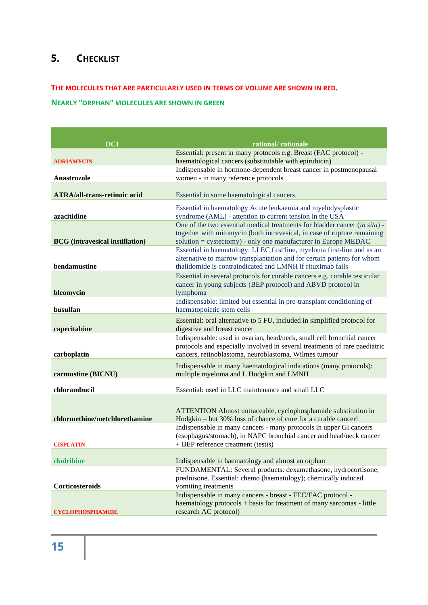## <span id="page-14-0"></span>**5. CHECKLIST**

#### **THE MOLECULES THAT ARE PARTICULARLY USED IN TERMS OF VOLUME ARE SHOWN IN RED.**

#### **NEARLY "ORPHAN" MOLECULES ARE SHOWN IN GREEN**

| <b>DCI</b>                             |                                                                                                                                                                                                                          |
|----------------------------------------|--------------------------------------------------------------------------------------------------------------------------------------------------------------------------------------------------------------------------|
|                                        | rational/rationale<br>Essential: present in many protocols e.g. Breast (FAC protocol) -                                                                                                                                  |
| <b>ADRIAMYCIN</b>                      | haematological cancers (substitutable with epirubicin)                                                                                                                                                                   |
|                                        | Indispensable in hormone-dependent breast cancer in postmenopausal                                                                                                                                                       |
| <b>Anastrozole</b>                     | women - in many reference protocols                                                                                                                                                                                      |
| <b>ATRA/all-trans-retinoic acid</b>    | Essential in some haematological cancers                                                                                                                                                                                 |
| azacitidine                            | Essential in haematology Acute leukaemia and myelodysplastic<br>syndrome (AML) - attention to current tension in the USA                                                                                                 |
| <b>BCG</b> (intravesical instillation) | One of the two essential medical treatments for bladder cancer (in situ) -<br>together with mitomycin (both intravesical, in case of rupture remaining<br>solution = cystectomy) - only one manufacturer in Europe MEDAC |
| bendamustine                           | Essential in haematology: LLEC first line, myeloma first-line and as an<br>alternative to marrow transplantation and for certain patients for whom<br>thalidomide is contraindicated and LMNH if rituximab fails         |
| bleomycin                              | Essential in several protocols for curable cancers e.g. curable testicular<br>cancer in young subjects (BEP protocol) and ABVD protocol in<br>lymphoma                                                                   |
| busulfan                               | Indispensable: limited but essential in pre-transplant conditioning of<br>haematopoietic stem cells                                                                                                                      |
| capecitabine                           | Essential: oral alternative to 5 FU, included in simplified protocol for<br>digestive and breast cancer                                                                                                                  |
| carboplatin                            | Indispensable: used in ovarian, head/neck, small cell bronchial cancer<br>protocols and especially involved in several treatments of rare paediatric<br>cancers, retinoblastoma, neuroblastoma, Wilmes tumour            |
| carmustine (BICNU)                     | Indispensable in many haematological indications (many protocols):<br>multiple myeloma and L Hodgkin and LMNH                                                                                                            |
| chlorambucil                           | Essential: used in LLC maintenance and small LLC                                                                                                                                                                         |
| chlormethine/metchlorethamine          | ATTENTION Almost untraceable, cyclophosphamide substitution in<br>$Hodgkin = but 30\%$ loss of chance of cure for a curable cancer!                                                                                      |
| <b>CISPLATIN</b>                       | Indispensable in many cancers - many protocols in upper GI cancers<br>(esophagus/stomach), in NAPC bronchial cancer and head/neck cancer<br>+ BEP reference treatment (testis)                                           |
| cladribine                             | Indispensable in haematology and almost an orphan                                                                                                                                                                        |
| Corticosteroids                        | FUNDAMENTAL: Several products: dexamethasone, hydrocortisone,<br>prednisone. Essential: chemo (haematology); chemically induced<br>vomiting treatments                                                                   |
| <b>CYCLOPHOSPHAMIDE</b>                | Indispensable in many cancers - breast - FEC/FAC protocol -<br>haematology protocols + basis for treatment of many sarcomas - little<br>research AC protocol)                                                            |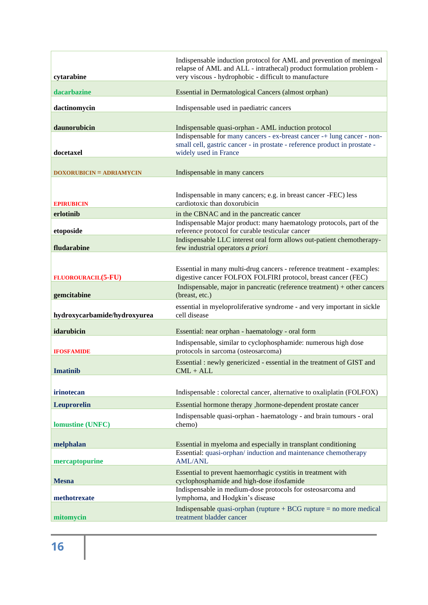| cytarabine                      | Indispensable induction protocol for AML and prevention of meningeal<br>relapse of AML and ALL - intrathecal) product formulation problem -<br>very viscous - hydrophobic - difficult to manufacture |
|---------------------------------|------------------------------------------------------------------------------------------------------------------------------------------------------------------------------------------------------|
| dacarbazine                     | Essential in Dermatological Cancers (almost orphan)                                                                                                                                                  |
| dactinomycin                    | Indispensable used in paediatric cancers                                                                                                                                                             |
| daunorubicin                    | Indispensable quasi-orphan - AML induction protocol<br>Indispensable for many cancers - ex-breast cancer -+ lung cancer - non-                                                                       |
| docetaxel                       | small cell, gastric cancer - in prostate - reference product in prostate -<br>widely used in France                                                                                                  |
| <b>DOXORUBICIN = ADRIAMYCIN</b> | Indispensable in many cancers                                                                                                                                                                        |
| <b>EPIRUBICIN</b>               | Indispensable in many cancers; e.g. in breast cancer -FEC) less<br>cardiotoxic than doxorubicin                                                                                                      |
| erlotinib                       | in the CBNAC and in the pancreatic cancer                                                                                                                                                            |
| etoposide                       | Indispensable Major product: many haematology protocols, part of the<br>reference protocol for curable testicular cancer                                                                             |
| fludarabine                     | Indispensable LLC interest oral form allows out-patient chemotherapy-<br>few industrial operators a priori                                                                                           |
|                                 |                                                                                                                                                                                                      |
| <b>FLUOROURACIL(5-FU)</b>       | Essential in many multi-drug cancers - reference treatment - examples:<br>digestive cancer FOLFOX FOLFIRI protocol, breast cancer (FEC)                                                              |
| gemcitabine                     | Indispensable, major in pancreatic (reference treatment) $+$ other cancers<br>(breast, etc.)                                                                                                         |
| hydroxycarbamide/hydroxyurea    | essential in myeloproliferative syndrome - and very important in sickle<br>cell disease                                                                                                              |
| idarubicin                      | Essential: near orphan - haematology - oral form                                                                                                                                                     |
| <b>IFOSFAMIDE</b>               | Indispensable, similar to cyclophosphamide: numerous high dose<br>protocols in sarcoma (osteosarcoma)                                                                                                |
| <b>Imatinib</b>                 | Essential : newly genericized - essential in the treatment of GIST and<br>$CML + ALL$                                                                                                                |
|                                 |                                                                                                                                                                                                      |
| irinotecan                      | Indispensable : colorectal cancer, alternative to oxaliplatin (FOLFOX)                                                                                                                               |
| <b>Leuprorelin</b>              | Essential hormone therapy , hormone-dependent prostate cancer                                                                                                                                        |
| <b>lomustine (UNFC)</b>         | Indispensable quasi-orphan - haematology - and brain tumours - oral<br>chemo)                                                                                                                        |
| melphalan                       | Essential in myeloma and especially in transplant conditioning                                                                                                                                       |
| mercaptopurine                  | Essential: quasi-orphan/induction and maintenance chemotherapy<br><b>AML/ANL</b>                                                                                                                     |
| <b>Mesna</b>                    | Essential to prevent haemorrhagic cystitis in treatment with<br>cyclophosphamide and high-dose ifosfamide                                                                                            |
| methotrexate                    | Indispensable in medium-dose protocols for osteosarcoma and<br>lymphoma, and Hodgkin's disease                                                                                                       |
| mitomycin                       | Indispensable quasi-orphan (rupture $+ BCG$ rupture $=$ no more medical<br>treatment bladder cancer                                                                                                  |
|                                 |                                                                                                                                                                                                      |